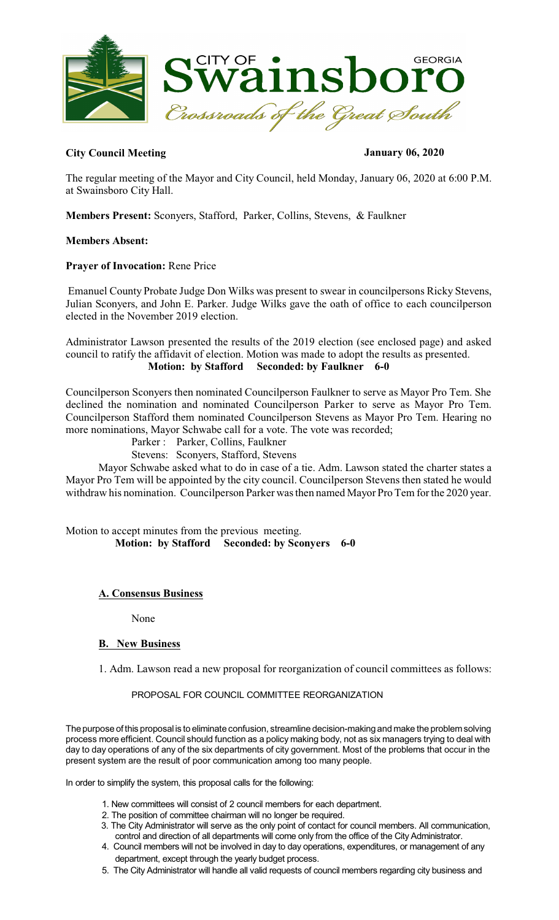

# **City Council Meeting January 06, 2020**

The regular meeting of the Mayor and City Council, held Monday, January 06, 2020 at 6:00 P.M. at Swainsboro City Hall.

**Members Present:** Sconyers, Stafford, Parker, Collins, Stevens, & Faulkner

#### **Members Absent:**

#### **Prayer of Invocation:** Rene Price

Emanuel County Probate Judge Don Wilks was present to swear in councilpersons Ricky Stevens, Julian Sconyers, and John E. Parker. Judge Wilks gave the oath of office to each councilperson elected in the November 2019 election.

Administrator Lawson presented the results of the 2019 election (see enclosed page) and asked council to ratify the affidavit of election. Motion was made to adopt the results as presented.  **Motion: by Stafford Seconded: by Faulkner 6-0** 

Councilperson Sconyers then nominated Councilperson Faulkner to serve as Mayor Pro Tem. She declined the nomination and nominated Councilperson Parker to serve as Mayor Pro Tem. Councilperson Stafford them nominated Councilperson Stevens as Mayor Pro Tem. Hearing no more nominations, Mayor Schwabe call for a vote. The vote was recorded;

Parker : Parker, Collins, Faulkner

Stevens: Sconyers, Stafford, Stevens

Mayor Schwabe asked what to do in case of a tie. Adm. Lawson stated the charter states a Mayor Pro Tem will be appointed by the city council. Councilperson Stevens then stated he would withdraw his nomination. Councilperson Parker wasthen named Mayor Pro Tem for the 2020 year.

Motion to accept minutes from the previous meeting.  **Motion: by Stafford Seconded: by Sconyers 6-0** 

# **A. Consensus Business**

None

# **B. New Business**

1. Adm. Lawson read a new proposal for reorganization of council committees as follows:

# PROPOSAL FOR COUNCIL COMMITTEE REORGANIZATION

The purpose of this proposal is to eliminate confusion, streamline decision-making and make the problem solving process more efficient. Council should function as a policy making body, not as six managers trying to deal with day to day operations of any of the six departments of city government. Most of the problems that occur in the present system are the result of poor communication among too many people.

In order to simplify the system, this proposal calls for the following:

- 1. New committees will consist of 2 council members for each department.
- 2. The position of committee chairman will no longer be required.
- 3. The City Administrator will serve as the only point of contact for council members. All communication, control and direction of all departments will come only from the office of the City Administrator.
- 4. Council members will not be involved in day to day operations, expenditures, or management of any department, except through the yearly budget process.
- 5. The City Administrator will handle all valid requests of council members regarding city business and